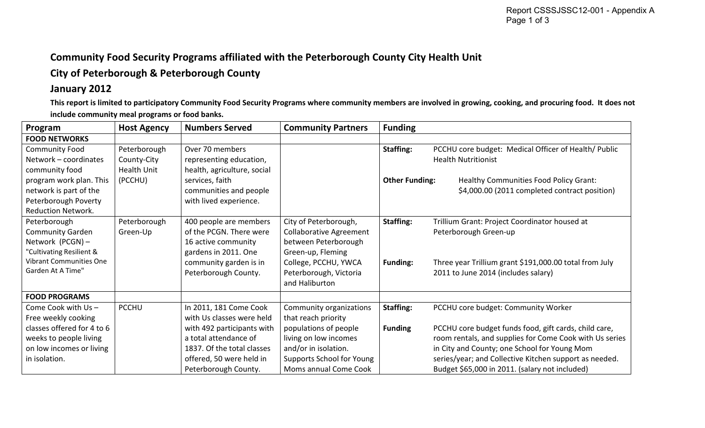## **Community Food Security Programs affiliated with the Peterborough County City Health Unit**

## **City of Peterborough & Peterborough County**

## **January 2012**

**This report is limited to participatory Community Food Security Programs where community members are involved in growing, cooking, and procuring food. It does not include community meal programs or food banks.** 

| Program                        | <b>Host Agency</b> | <b>Numbers Served</b>       | <b>Community Partners</b>      | <b>Funding</b>        |                                                         |
|--------------------------------|--------------------|-----------------------------|--------------------------------|-----------------------|---------------------------------------------------------|
| <b>FOOD NETWORKS</b>           |                    |                             |                                |                       |                                                         |
| <b>Community Food</b>          | Peterborough       | Over 70 members             |                                | Staffing:             | PCCHU core budget: Medical Officer of Health/ Public    |
| Network - coordinates          | County-City        | representing education,     |                                |                       | <b>Health Nutritionist</b>                              |
| community food                 | Health Unit        | health, agriculture, social |                                |                       |                                                         |
| program work plan. This        | (PCCHU)            | services, faith             |                                | <b>Other Funding:</b> | Healthy Communities Food Policy Grant:                  |
| network is part of the         |                    | communities and people      |                                |                       | \$4,000.00 (2011 completed contract position)           |
| Peterborough Poverty           |                    | with lived experience.      |                                |                       |                                                         |
| <b>Reduction Network.</b>      |                    |                             |                                |                       |                                                         |
| Peterborough                   | Peterborough       | 400 people are members      | City of Peterborough,          | <b>Staffing:</b>      | Trillium Grant: Project Coordinator housed at           |
| <b>Community Garden</b>        | Green-Up           | of the PCGN. There were     | <b>Collaborative Agreement</b> |                       | Peterborough Green-up                                   |
| Network (PCGN) -               |                    | 16 active community         | between Peterborough           |                       |                                                         |
| "Cultivating Resilient &       |                    | gardens in 2011. One        | Green-up, Fleming              |                       |                                                         |
| <b>Vibrant Communities One</b> |                    | community garden is in      | College, PCCHU, YWCA           | <b>Funding:</b>       | Three year Trillium grant \$191,000.00 total from July  |
| Garden At A Time"              |                    | Peterborough County.        | Peterborough, Victoria         |                       | 2011 to June 2014 (includes salary)                     |
|                                |                    |                             | and Haliburton                 |                       |                                                         |
| <b>FOOD PROGRAMS</b>           |                    |                             |                                |                       |                                                         |
| Come Cook with Us-             | <b>PCCHU</b>       | In 2011, 181 Come Cook      | Community organizations        | <b>Staffing:</b>      | PCCHU core budget: Community Worker                     |
| Free weekly cooking            |                    | with Us classes were held   | that reach priority            |                       |                                                         |
| classes offered for 4 to 6     |                    | with 492 participants with  | populations of people          | <b>Funding</b>        | PCCHU core budget funds food, gift cards, child care,   |
| weeks to people living         |                    | a total attendance of       | living on low incomes          |                       | room rentals, and supplies for Come Cook with Us series |
| on low incomes or living       |                    | 1837. Of the total classes  | and/or in isolation.           |                       | in City and County; one School for Young Mom            |
| in isolation.                  |                    | offered, 50 were held in    | Supports School for Young      |                       | series/year; and Collective Kitchen support as needed.  |
|                                |                    | Peterborough County.        | Moms annual Come Cook          |                       | Budget \$65,000 in 2011. (salary not included)          |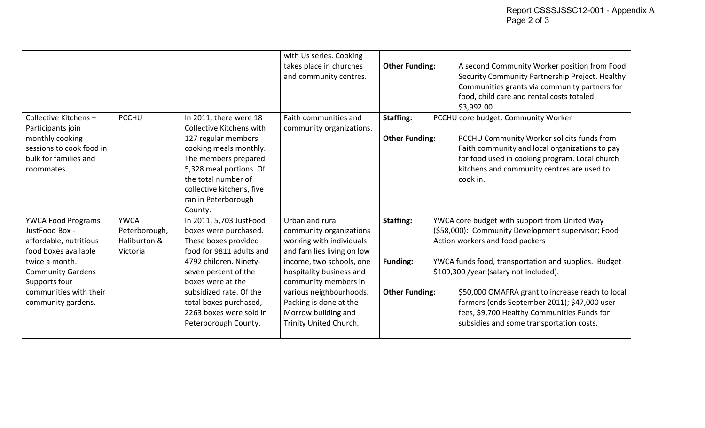|                                                                                                         |                                                          |                                                                                                                                                                                                                    | with Us series. Cooking<br>takes place in churches<br>and community centres.                         | <b>Other Funding:</b> | A second Community Worker position from Food<br>Security Community Partnership Project. Healthy<br>Communities grants via community partners for<br>food, child care and rental costs totaled<br>\$3,992.00. |
|---------------------------------------------------------------------------------------------------------|----------------------------------------------------------|--------------------------------------------------------------------------------------------------------------------------------------------------------------------------------------------------------------------|------------------------------------------------------------------------------------------------------|-----------------------|--------------------------------------------------------------------------------------------------------------------------------------------------------------------------------------------------------------|
| Collective Kitchens-                                                                                    | <b>PCCHU</b>                                             | In 2011, there were 18                                                                                                                                                                                             | Faith communities and                                                                                | <b>Staffing:</b>      | PCCHU core budget: Community Worker                                                                                                                                                                          |
| Participants join<br>monthly cooking<br>sessions to cook food in<br>bulk for families and<br>roommates. |                                                          | Collective Kitchens with<br>127 regular members<br>cooking meals monthly.<br>The members prepared<br>5,328 meal portions. Of<br>the total number of<br>collective kitchens, five<br>ran in Peterborough<br>County. | community organizations.                                                                             | <b>Other Funding:</b> | PCCHU Community Worker solicits funds from<br>Faith community and local organizations to pay<br>for food used in cooking program. Local church<br>kitchens and community centres are used to<br>cook in.     |
| <b>YWCA Food Programs</b><br>JustFood Box -<br>affordable, nutritious<br>food boxes available           | <b>YWCA</b><br>Peterborough,<br>Haliburton &<br>Victoria | In 2011, 5,703 JustFood<br>boxes were purchased.<br>These boxes provided<br>food for 9811 adults and                                                                                                               | Urban and rural<br>community organizations<br>working with individuals<br>and families living on low | <b>Staffing:</b>      | YWCA core budget with support from United Way<br>(\$58,000): Community Development supervisor; Food<br>Action workers and food packers                                                                       |
| twice a month.<br>Community Gardens-<br>Supports four                                                   |                                                          | 4792 children. Ninety-<br>seven percent of the<br>boxes were at the                                                                                                                                                | income, two schools, one<br>hospitality business and<br>community members in                         | Funding:              | YWCA funds food, transportation and supplies. Budget<br>\$109,300 /year (salary not included).                                                                                                               |
| communities with their<br>community gardens.                                                            |                                                          | subsidized rate. Of the<br>total boxes purchased,<br>2263 boxes were sold in<br>Peterborough County.                                                                                                               | various neighbourhoods.<br>Packing is done at the<br>Morrow building and<br>Trinity United Church.   | <b>Other Funding:</b> | \$50,000 OMAFRA grant to increase reach to local<br>farmers (ends September 2011); \$47,000 user<br>fees, \$9,700 Healthy Communities Funds for<br>subsidies and some transportation costs.                  |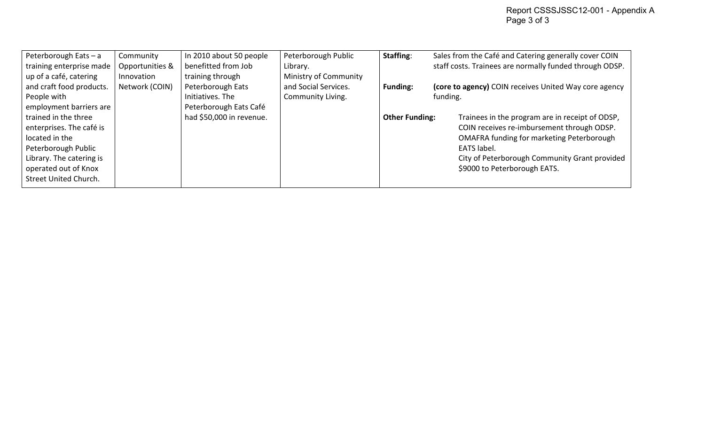| Peterborough Eats - a                              | Community                     | In 2010 about 50 people                 | Peterborough Public               | Staffing:             | Sales from the Café and Catering generally cover COIN   |  |
|----------------------------------------------------|-------------------------------|-----------------------------------------|-----------------------------------|-----------------------|---------------------------------------------------------|--|
| training enterprise made<br>up of a café, catering | Opportunities &<br>Innovation | benefitted from Job<br>training through | Library.<br>Ministry of Community |                       | staff costs. Trainees are normally funded through ODSP. |  |
| and craft food products.                           | Network (COIN)                | Peterborough Eats                       | and Social Services.              | <b>Funding:</b>       | (core to agency) COIN receives United Way core agency   |  |
| People with                                        |                               | Initiatives. The                        | Community Living.                 |                       | funding.                                                |  |
| employment barriers are                            |                               | Peterborough Eats Café                  |                                   |                       |                                                         |  |
| trained in the three                               |                               | had \$50,000 in revenue.                |                                   | <b>Other Funding:</b> | Trainees in the program are in receipt of ODSP,         |  |
| enterprises. The café is                           |                               |                                         |                                   |                       | COIN receives re-imbursement through ODSP.              |  |
| located in the                                     |                               |                                         |                                   |                       | <b>OMAFRA funding for marketing Peterborough</b>        |  |
| Peterborough Public                                |                               |                                         |                                   |                       | EATS label.                                             |  |
| Library. The catering is                           |                               |                                         |                                   |                       | City of Peterborough Community Grant provided           |  |
| operated out of Knox                               |                               |                                         |                                   |                       | \$9000 to Peterborough EATS.                            |  |
| Street United Church.                              |                               |                                         |                                   |                       |                                                         |  |